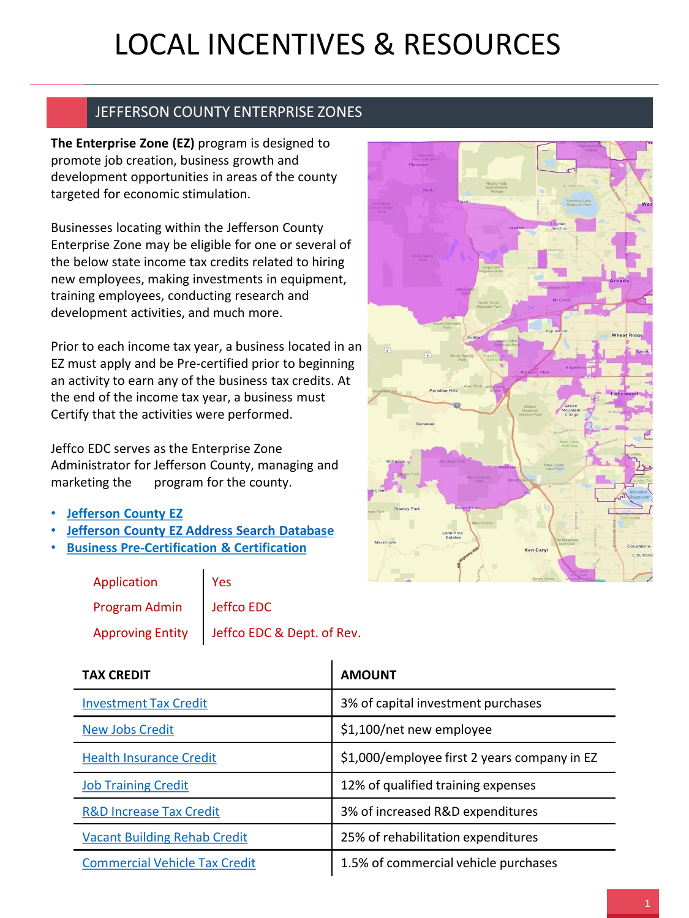## LOCAL INCENTIVES & RESOURCES

## JEFFERSON COUNTY ENTERPRISE ZONES

**The Enterprise Zone (EZ)** program is designed to promote job creation, business growth and development opportunities in areas of the county targeted for economic stimulation.

Businesses locating within the Jefferson County Enterprise Zone may be eligible for one or several of the below state income tax credits related to hiring new employees, making investments in equipment, training employees, conducting research and development activities, and much more.

Prior to each income tax year, a business located in an EZ must apply and be Pre-certified prior to beginning an activity to earn any of the business tax credits. At the end of the income tax year, a business must Certify that the activities were performed.

Jeffco EDC serves as the Enterprise Zone Administrator for Jefferson County, managing and marketing the program for the county.

- **[Jefferson County EZ](http://jeffcoedc.org/ez/)**
- **[Jefferson County EZ Address Search Database](https://jcedc.maps.arcgis.com/apps/PublicInformation/index.html?appid=9b3cefe77cc5461d8480cd06cfb8b36c)**
- **[Business Pre-Certification & Certification](https://choosecolorado.com/doing-business/incentives-financing/ez/)**

| Application              | $\vert$ Yes                                   |
|--------------------------|-----------------------------------------------|
| Program Admin Jeffco EDC |                                               |
|                          | Approving Entity   Jeffco EDC & Dept. of Rev. |



| <b>TAX CREDIT</b>                    | <b>AMOUNT</b>                                |
|--------------------------------------|----------------------------------------------|
| <b>Investment Tax Credit</b>         | 3% of capital investment purchases           |
| <b>New Jobs Credit</b>               | \$1,100/net new employee                     |
| <b>Health Insurance Credit</b>       | \$1,000/employee first 2 years company in EZ |
| <b>Job Training Credit</b>           | 12% of qualified training expenses           |
| <b>R&amp;D Increase Tax Credit</b>   | 3% of increased R&D expenditures             |
| <b>Vacant Building Rehab Credit</b>  | 25% of rehabilitation expenditures           |
| <b>Commercial Vehicle Tax Credit</b> | 1.5% of commercial vehicle purchases         |